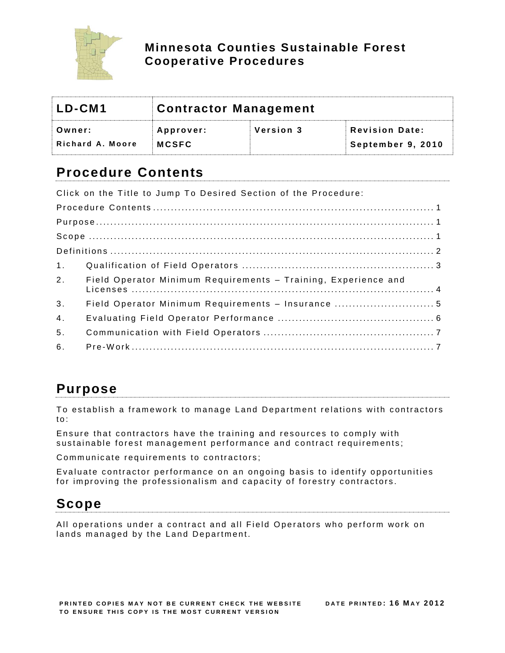

### **Minnesota Counties Sustainable Forest Cooperative Procedures**

| LD-CM1           | Contractor Management |           |                       |
|------------------|-----------------------|-----------|-----------------------|
| Owner:           | Approver:             | Version 3 | <b>Revision Date:</b> |
| Richard A. Moore | <b>MCSFC</b>          |           | September 9, 2010     |

# <span id="page-0-0"></span>**Procedure Contents**

Click on the Title to Jump To Desired Section of the Procedure: P r o c e d u r e C o n t e n t s [................................](#page-0-0) ................................ ............... 1 P u r p o s e ................................ [................................](#page-0-1) ............................... 1 S c o p e ................................ [................................](#page-0-2) ................................ . 1 D e f i n i t i o n s ................................ [................................](#page-1-0) ........................... 2 1 . [Q u a l if ic a t i o n o f F i e ld O p e r a t o r s](#page-2-0) ................................ ...................... 3 2. Field Operator Minimum Requirements - Training, Experience and L i c e n s e s [................................](#page-3-0) ................................ ..................... 4 3 . [F i e l d O p e r a t o r M i n im u m R e q u ir e m e n t s –](#page-4-0) I n s u r a n c e ............................ 5 4 . [E v a l u a t i n g F i e l d O p e r a t o r P e r f o r m a n c e](#page-5-0) ................................ ............ 6 5 . [C o m m u n ic a t i o n w i t h F i e l d O p e r a t o r s](#page-6-0) ................................ ................ 7 6 . P r e -W o r k [................................](#page-6-1) ................................ ..................... 7

# <span id="page-0-1"></span>**Purpose**

To establish a framework to manage Land Department relations with contractors to:

Ensure that contractors have the training and resources to comply with sustainable forest management performance and contract requirements;

Communicate requirements to contractors;

Evaluate contractor performance on an ongoing basis to identify opportunities for improving the professionalism and capacity of forestry contractors.

# <span id="page-0-2"></span>**Scope**

All operations under a contract and all Field Operators who perform work on lands managed by the Land Department.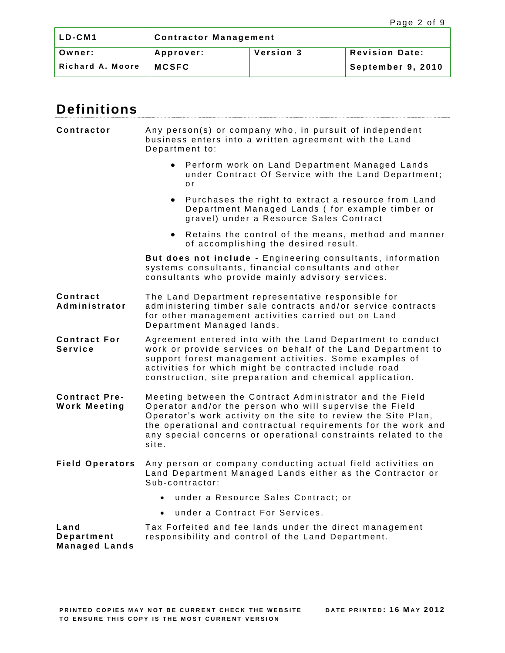| ILD-CM1          | <b>Contractor Management</b>                             |  |                   |  |
|------------------|----------------------------------------------------------|--|-------------------|--|
| Owner:           | <b>Revision Date:</b><br><b>Version 3</b><br>  Approver: |  |                   |  |
| Richard A. Moore | <b>MCSFC</b>                                             |  | September 9, 2010 |  |

<span id="page-1-0"></span>

| <b>Definitions</b>                          |                                                                                                                                                                                                                                                                                                                                  |  |  |
|---------------------------------------------|----------------------------------------------------------------------------------------------------------------------------------------------------------------------------------------------------------------------------------------------------------------------------------------------------------------------------------|--|--|
| Contractor                                  | Any person(s) or company who, in pursuit of independent<br>business enters into a written agreement with the Land<br>Department to:                                                                                                                                                                                              |  |  |
|                                             | Perform work on Land Department Managed Lands<br>$\bullet$<br>under Contract Of Service with the Land Department;<br>o r                                                                                                                                                                                                         |  |  |
|                                             | Purchases the right to extract a resource from Land<br>$\bullet$<br>Department Managed Lands (for example timber or<br>gravel) under a Resource Sales Contract                                                                                                                                                                   |  |  |
|                                             | Retains the control of the means, method and manner<br>$\bullet$<br>of accomplishing the desired result.                                                                                                                                                                                                                         |  |  |
|                                             | But does not include - Engineering consultants, information<br>systems consultants, financial consultants and other<br>consultants who provide mainly advisory services.                                                                                                                                                         |  |  |
| Contract<br>Administrator                   | The Land Department representative responsible for<br>administering timber sale contracts and/or service contracts<br>for other management activities carried out on Land<br>Department Managed lands.                                                                                                                           |  |  |
| <b>Contract For</b><br><b>Service</b>       | Agreement entered into with the Land Department to conduct<br>work or provide services on behalf of the Land Department to<br>support forest management activities. Some examples of<br>activities for which might be contracted include road<br>construction, site preparation and chemical application.                        |  |  |
| <b>Contract Pre-</b><br><b>Work Meeting</b> | Meeting between the Contract Administrator and the Field<br>Operator and/or the person who will supervise the Field<br>Operator's work activity on the site to review the Site Plan,<br>the operational and contractual requirements for the work and<br>any special concerns or operational constraints related to the<br>site. |  |  |
| <b>Field Operators</b>                      | Any person or company conducting actual field activities on<br>Land Department Managed Lands either as the Contractor or<br>Sub-contractor:                                                                                                                                                                                      |  |  |
|                                             | under a Resource Sales Contract; or<br>$\bullet$                                                                                                                                                                                                                                                                                 |  |  |
|                                             | under a Contract For Services.<br>$\bullet$                                                                                                                                                                                                                                                                                      |  |  |
| Land<br>Department                          | Tax Forfeited and fee lands under the direct management<br>responsibility and control of the Land Department.                                                                                                                                                                                                                    |  |  |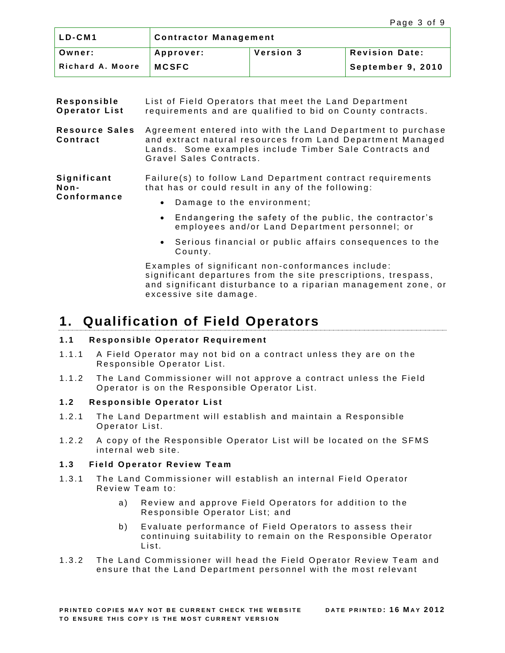| ILD-CM1          | <b>Contractor Management</b>                    |  |                   |  |
|------------------|-------------------------------------------------|--|-------------------|--|
| Owner:           | Version 3<br><b>Revision Date:</b><br>Approver: |  |                   |  |
| Richard A. Moore | <b>MCSFC</b>                                    |  | September 9, 2010 |  |

| Responsible<br><b>Operator List</b> | List of Field Operators that meet the Land Department<br>requirements and are qualified to bid on County contracts.                                                                                            |
|-------------------------------------|----------------------------------------------------------------------------------------------------------------------------------------------------------------------------------------------------------------|
| <b>Resource Sales</b><br>Contract   | Agreement entered into with the Land Department to purchase<br>and extract natural resources from Land Department Managed<br>Lands. Some examples include Timber Sale Contracts and<br>Gravel Sales Contracts. |
| Significant<br>Non-<br>Conformance  | Failure(s) to follow Land Department contract requirements<br>that has or could result in any of the following:                                                                                                |
|                                     | Damage to the environment;<br>$\bullet$                                                                                                                                                                        |
|                                     |                                                                                                                                                                                                                |

- Endangering the safety of the public, the contractor's employees and/or Land Department personnel; or
- Serious financial or public affairs consequences to the County.

Examples of significant non-conformances include: significant departures from the site prescriptions, trespass, and significant disturbance to a riparian management zone, or excessive site damage.

## <span id="page-2-0"></span>**1. Qualification of Field Operators**

### **1.1** Responsible Operator Requirement

- 1.1.1 A Field Operator may not bid on a contract unless they are on the Responsible Operator List.
- 1.1.2 The Land Commissioner will not approve a contract unless the Field Operator is on the Responsible Operator List.

### **1.2** Responsible Operator List

- 1.2.1 The Land Department will establish and maintain a Responsible Operator List.
- 1.2.2 A copy of the Responsible Operator List will be located on the SFMS internal web site.

### 1.3 **Field Operator Review Team**

- 1.3.1 The Land Commissioner will establish an internal Field Operator Review Team to:
	- a) Review and approve Field Operators for addition to the Responsible Operator List; and
	- b) Evaluate performance of Field Operators to assess their continuing suitability to remain on the Responsible Operator List.
- 1.3.2 The Land Commissioner will head the Field Operator Review Team and ensure that the Land Department personnel with the most relevant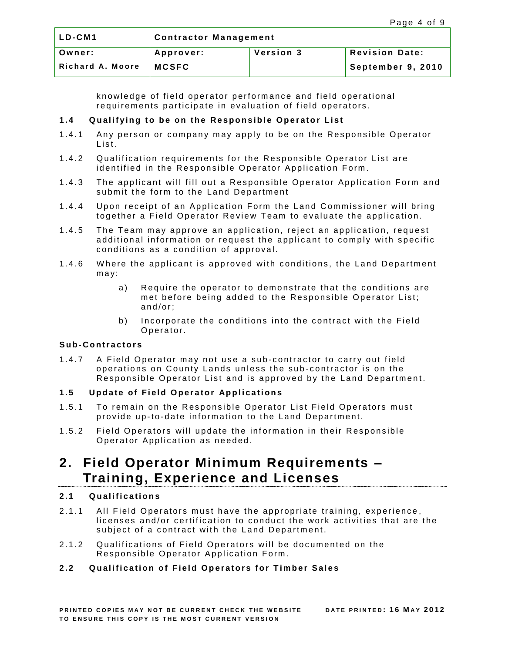| LD-CM1           | <b>Contractor Management</b>                    |  |  |  |
|------------------|-------------------------------------------------|--|--|--|
| Owner:           | <b>Revision Date:</b><br>Version 3<br>Approver: |  |  |  |
| Richard A. Moore | <b>MCSFC</b><br>September 9, 2010               |  |  |  |

knowledge of field operator performance and field operational requirements participate in evaluation of field operators.

#### **1.4** Qualifying to be on the Responsible Operator List

- 1.4.1 Any person or company may apply to be on the Responsible Operator List.
- 1.4.2 Qualification requirements for the Responsible Operator List are identified in the Responsible Operator Application Form.
- 1.4.3 The applicant will fill out a Responsible Operator Application Form and submit the form to the Land Department
- 1.4.4 Upon receipt of an Application Form the Land Commissioner will bring together a Field Operator Review Team to evaluate the application.
- 1.4.5 The Team may approve an application, reject an application, request additional information or request the applicant to comply with specific conditions as a condition of approval.
- 1.4.6 Where the applicant is approved with conditions, the Land Department  $max:$ 
	- a) Require the operator to demonstrate that the conditions are met before being added to the Responsible Operator List;  $and/or:$
	- b) Incorporate the conditions into the contract with the Field Operator.

#### **S u b- C o n t r a c t o r s**

1.4.7 A Field Operator may not use a sub-contractor to carry out field operations on County Lands unless the sub-contractor is on the Responsible Operator List and is approved by the Land Department.

### **1.5** Update of Field Operator Applications

- 1.5.1 To remain on the Responsible Operator List Field Operators must provide up-to-date information to the Land Department.
- 1.5.2 Field Operators will update the information in their Responsible Operator Application as needed.

## <span id="page-3-0"></span>**2. Field Operator Minimum Requirements – Training, Experience and Licenses**

### **2.1 Q u a l i f i c a t i o n s**

- 2.1.1 All Field Operators must have the appropriate training, experience, licenses and/or certification to conduct the work activities that are the subject of a contract with the Land Department.
- 2.1.2 Qualifications of Field Operators will be documented on the Responsible Operator Application Form.

### 2.2 Qualification of Field Operators for Timber Sales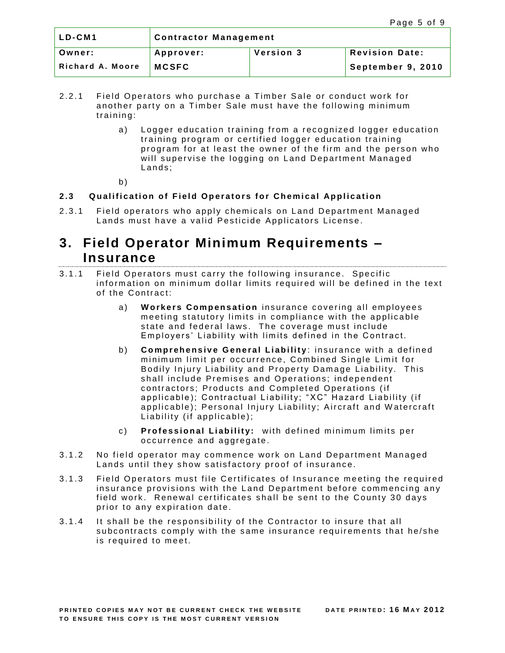| LD-CM1           | <b>Contractor Management</b>                    |  |  |  |
|------------------|-------------------------------------------------|--|--|--|
| Owner:           | <b>Revision Date:</b><br>Version 3<br>Approver: |  |  |  |
| Richard A. Moore | September 9, 2010<br><b>MCSFC</b>               |  |  |  |

- 2.2.1 Field Operators who purchase a Timber Sale or conduct work for another party on a Timber Sale must have the following minimum training:
	- a) Logger education training from a recognized logger education training program or certified logger education training program for at least the owner of the firm and the person who will supervise the logging on Land Department Managed Lands:
	- $b)$

### **2.3** Qualification of Field Operators for Chemical Application

2.3.1 Field operators who apply chemicals on Land Department Managed Lands must have a valid Pesticide Applicators License.

## <span id="page-4-0"></span>**3. Field Operator Minimum Requirements – Insurance**

- 3.1.1 Field Operators must carry the following insurance. Specific information on minimum dollar limits required will be defined in the text of the Contract:
	- a) **Workers Compensation** insurance covering all employees meeting statutory limits in compliance with the applicable state and federal laws. The coverage must include Employers' Liability with limits defined in the Contract.
	- b) **Comprehensive General Liability**: insurance with a defined minimum limit per occurrence, Combined Single Limit for Bodily Injury Liability and Property Damage Liability. This shall include Premises and Operations: independent contractors; Products and Completed Operations (if applicable); Contractual Liability; "XC" Hazard Liability (if applicable); Personal Injury Liability; Aircraft and Watercraft Liability (if applicable);
	- c) **Professional Liability:** with defined minimum limits per occurrence and aggregate.
- 3.1.2 No field operator may commence work on Land Department Managed Lands until they show satisfactory proof of insurance.
- 3.1.3 Field Operators must file Certificates of Insurance meeting the required insurance provisions with the Land Department before commencing any field work. Renewal certificates shall be sent to the County 30 days prior to any expiration date.
- 3.1.4 It shall be the responsibility of the Contractor to insure that all subcontracts comply with the same insurance requirements that he/she is required to meet.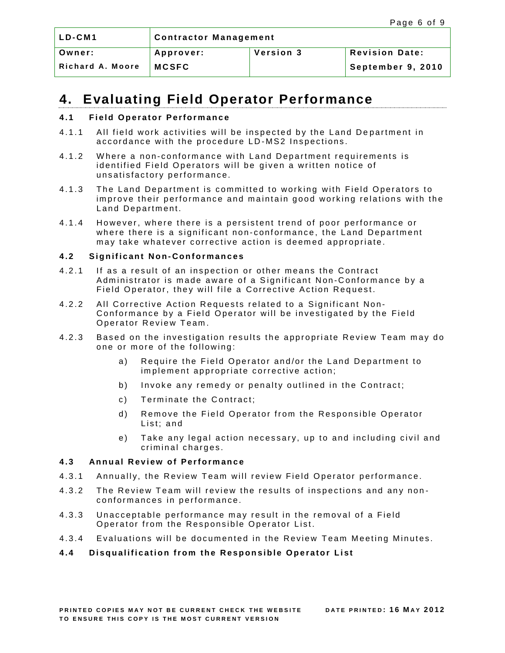| LD-CM1           | <b>Contractor Management</b>                           |  |                   |  |
|------------------|--------------------------------------------------------|--|-------------------|--|
| Owner:           | Version 3<br><b>Revision Date:</b><br><b>Approver:</b> |  |                   |  |
| Richard A. Moore | <b>MCSFC</b>                                           |  | September 9, 2010 |  |

## <span id="page-5-0"></span>**4. Evaluating Field Operator Performance**

#### **4.1 Field Operator Performance**

- 4.1.1 All field work activities will be inspected by the Land Department in accordance with the procedure LD-MS2 Inspections.
- 4.1.2 Where a non-conformance with Land Department requirements is identified Field Operators will be given a written notice of unsatisfactory performance.
- 4.1.3 The Land Department is committed to working with Field Operators to improve their performance and maintain good working relations with the Land Department.
- 4.1.4 However, where there is a persistent trend of poor performance or where there is a significant non-conformance, the Land Department may take whatever corrective action is deemed appropriate.

#### **4.2 Si g n i f i c a n t N o n- C o n f o r m a n c e s**

- 4.2.1 If as a result of an inspection or other means the Contract Administrator is made aware of a Significant Non-Conformance by a Field Operator, they will file a Corrective Action Request.
- 4.2.2 All Corrective Action Requests related to a Significant Non-Conformance by a Field Operator will be investigated by the Field Operator Review Team.
- 4.2.3 Based on the investigation results the appropriate Review Team may do one or more of the following:
	- a) Require the Field Operator and/or the Land Department to implement appropriate corrective action;
	- b) Invoke any remedy or penalty outlined in the Contract;
	- c) Terminate the Contract;
	- d) Remove the Field Operator from the Responsible Operator List; and
	- e) Take any legal action necessary, up to and including civil and criminal charges.

#### **4.3** Annual Review of Performance

- 4.3.1 Annually, the Review Team will review Field Operator performance.
- 4.3.2 The Review Team will review the results of inspections and any nonconformances in performance.
- 4.3.3 Unacceptable performance may result in the removal of a Field Operator from the Responsible Operator List.
- 4.3.4 Evaluations will be documented in the Review Team Meeting Minutes.

### **4.4** Disqualification from the Responsible Operator List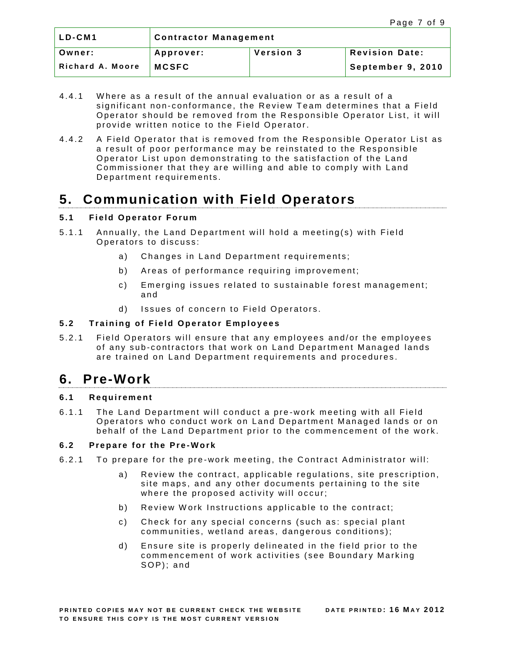| LD-CM1           | <b>Contractor Management</b>                    |  |  |  |
|------------------|-------------------------------------------------|--|--|--|
| Owner:           | <b>Revision Date:</b><br>Version 3<br>Approver: |  |  |  |
| Richard A. Moore | September 9, 2010<br><b>MCSFC</b>               |  |  |  |

- 4.4.1 Where as a result of the annual evaluation or as a result of a significant non-conformance, the Review Team determines that a Field Operator should be removed from the Responsible Operator List, it will provide written notice to the Field Operator.
- 4.4.2 A Field Operator that is removed from the Responsible Operator List as a result of poor performance may be reinstated to the Responsible Operator List upon demonstrating to the satisfaction of the Land Commissioner that they are willing and able to comply with Land Department requirements.

# <span id="page-6-0"></span>**5. Communication with Field Operators**

### **5.1 Field Operator Forum**

- 5.1.1 Annually, the Land Department will hold a meeting(s) with Field Operators to discuss:
	- a) Changes in Land Department requirements;
	- b) Areas of performance requiring improvement;
	- c) Emerging issues related to sustainable forest management; and
	- d) Issues of concern to Field Operators.

### **5.2** Training of Field Operator Employees

5.2.1 Field Operators will ensure that any employees and/or the employees of any sub-contractors that work on Land Department Managed lands are trained on Land Department requirements and procedures.

### <span id="page-6-1"></span>**6. Pre-Work**

### **6.1 R e q u i r e m e n t**

6.1.1 The Land Department will conduct a pre-work meeting with all Field Operators who conduct work on Land Department Managed lands or on behalf of the Land Department prior to the commencement of the work.

### **6.2 P r e p a r e f o r t h e P r e -W o r k**

- 6.2.1 To prepare for the pre-work meeting, the Contract Administrator will:
	- a) Review the contract, applicable regulations, site prescription, site maps, and any other documents pertaining to the site where the proposed activity will occur;
	- b) Review Work Instructions applicable to the contract;
	- c) Check for any special concerns (such as: special plant communities, wetland areas, dangerous conditions);
	- d) Ensure site is properly delineated in the field prior to the commencement of work activities (see Boundary Marking SOP); and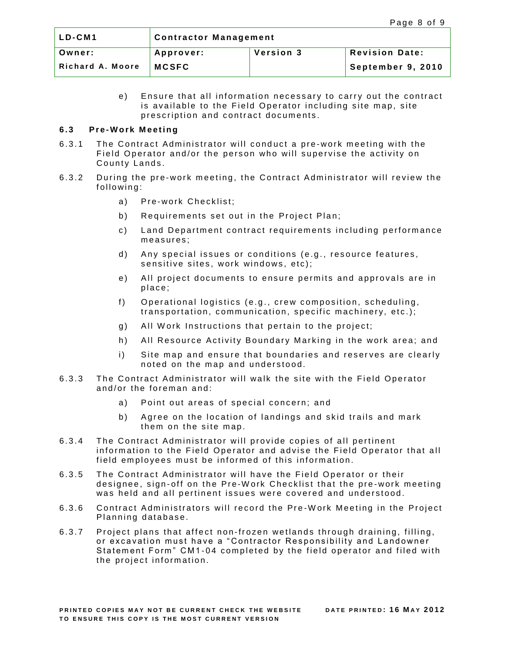| LD-CM1           | <b>Contractor Management</b>                    |  |  |  |
|------------------|-------------------------------------------------|--|--|--|
| Owner:           | Version 3<br><b>Revision Date:</b><br>Approver: |  |  |  |
| Richard A. Moore | September 9, 2010<br><b>MCSFC</b>               |  |  |  |

e) Ensure that all information necessary to carry out the contract is available to the Field Operator including site map, site prescription and contract documents.

#### **6.3 Pre -W o r k M e e t i n g**

- 6.3.1 The Contract Administrator will conduct a pre-work meeting with the Field Operator and/or the person who will supervise the activity on County Lands.
- 6.3.2 During the pre-work meeting, the Contract Administrator will review the following:
	- a) Pre-work Checklist;
	- b) Requirements set out in the Project Plan;
	- c) Land Department contract requirements including performance measures;
	- d) Any special issues or conditions (e.g., resource features, sensitive sites, work windows, etc);
	- e) All project documents to ensure permits and approvals are in place:
	- f) Operational logistics (e.g., crew composition, scheduling, transportation, communication, specific machinery, etc.);
	- g) All Work Instructions that pertain to the project;
	- h) All Resource Activity Boundary Marking in the work area; and
	- i) Site map and ensure that boundaries and reserves are clearly noted on the map and understood.
- 6.3.3 The Contract Administrator will walk the site with the Field Operator and/or the foreman and:
	- a) Point out areas of special concern; and
	- b) Agree on the location of landings and skid trails and mark them on the site map.
- 6.3.4 The Contract Administrator will provide copies of all pertinent information to the Field Operator and advise the Field Operator that all field employees must be informed of this information.
- 6.3.5 The Contract Administrator will have the Field Operator or their designee, sign-off on the Pre-Work Checklist that the pre-work meeting was held and all pertinent issues were covered and understood.
- 6.3.6 Contract Administrators will record the Pre-Work Meeting in the Project Planning database.
- 6.3.7 Project plans that affect non-frozen wetlands through draining, filling, or excavation must have a "Contractor Responsibility and Landowner Statement Form" CM1-04 completed by the field operator and filed with the project information.